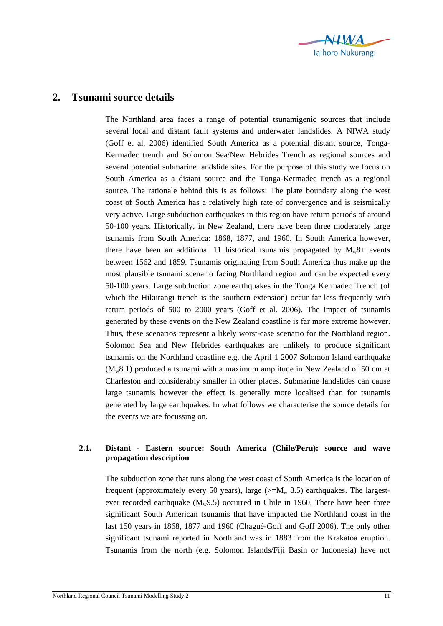

## **2. Tsunami source details**

The Northland area faces a range of potential tsunamigenic sources that include several local and distant fault systems and underwater landslides. A NIWA study (Goff et al. 2006) identified South America as a potential distant source, Tonga-Kermadec trench and Solomon Sea/New Hebrides Trench as regional sources and several potential submarine landslide sites. For the purpose of this study we focus on South America as a distant source and the Tonga-Kermadec trench as a regional source. The rationale behind this is as follows: The plate boundary along the west coast of South America has a relatively high rate of convergence and is seismically very active. Large subduction earthquakes in this region have return periods of around 50-100 years. Historically, in New Zealand, there have been three moderately large tsunamis from South America: 1868, 1877, and 1960. In South America however, there have been an additional 11 historical tsunamis propagated by  $M_w8$ + events between 1562 and 1859. Tsunamis originating from South America thus make up the most plausible tsunami scenario facing Northland region and can be expected every 50-100 years. Large subduction zone earthquakes in the Tonga Kermadec Trench (of which the Hikurangi trench is the southern extension) occur far less frequently with return periods of 500 to 2000 years (Goff et al. 2006). The impact of tsunamis generated by these events on the New Zealand coastline is far more extreme however. Thus, these scenarios represent a likely worst-case scenario for the Northland region. Solomon Sea and New Hebrides earthquakes are unlikely to produce significant tsunamis on the Northland coastline e.g. the April 1 2007 Solomon Island earthquake  $(M_w 8.1)$  produced a tsunami with a maximum amplitude in New Zealand of 50 cm at Charleston and considerably smaller in other places. Submarine landslides can cause large tsunamis however the effect is generally more localised than for tsunamis generated by large earthquakes. In what follows we characterise the source details for the events we are focussing on.

## **2.1. Distant - Eastern source: South America (Chile/Peru): source and wave propagation description**

The subduction zone that runs along the west coast of South America is the location of frequent (approximately every 50 years), large ( $>=M_w 8.5$ ) earthquakes. The largestever recorded earthquake  $(M_w9.5)$  occurred in Chile in 1960. There have been three significant South American tsunamis that have impacted the Northland coast in the last 150 years in 1868, 1877 and 1960 (Chagué-Goff and Goff 2006). The only other significant tsunami reported in Northland was in 1883 from the Krakatoa eruption. Tsunamis from the north (e.g. Solomon Islands/Fiji Basin or Indonesia) have not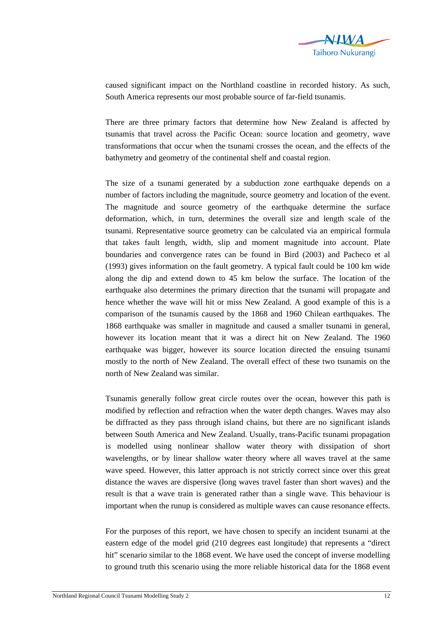

caused significant impact on the Northland coastline in recorded history. As such, South America represents our most probable source of far-field tsunamis.

There are three primary factors that determine how New Zealand is affected by tsunamis that travel across the Pacific Ocean: source location and geometry, wave transformations that occur when the tsunami crosses the ocean, and the effects of the bathymetry and geometry of the continental shelf and coastal region.

The size of a tsunami generated by a subduction zone earthquake depends on a number of factors including the magnitude, source geometry and location of the event. The magnitude and source geometry of the earthquake determine the surface deformation, which, in turn, determines the overall size and length scale of the tsunami. Representative source geometry can be calculated via an empirical formula that takes fault length, width, slip and moment magnitude into account. Plate boundaries and convergence rates can be found in Bird (2003) and Pacheco et al (1993) gives information on the fault geometry. A typical fault could be 100 km wide along the dip and extend down to 45 km below the surface. The location of the earthquake also determines the primary direction that the tsunami will propagate and hence whether the wave will hit or miss New Zealand. A good example of this is a comparison of the tsunamis caused by the 1868 and 1960 Chilean earthquakes. The 1868 earthquake was smaller in magnitude and caused a smaller tsunami in general, however its location meant that it was a direct hit on New Zealand. The 1960 earthquake was bigger, however its source location directed the ensuing tsunami mostly to the north of New Zealand. The overall effect of these two tsunamis on the north of New Zealand was similar.

Tsunamis generally follow great circle routes over the ocean, however this path is modified by reflection and refraction when the water depth changes. Waves may also be diffracted as they pass through island chains, but there are no significant islands between South America and New Zealand. Usually, trans-Pacific tsunami propagation is modelled using nonlinear shallow water theory with dissipation of short wavelengths, or by linear shallow water theory where all waves travel at the same wave speed. However, this latter approach is not strictly correct since over this great distance the waves are dispersive (long waves travel faster than short waves) and the result is that a wave train is generated rather than a single wave. This behaviour is important when the runup is considered as multiple waves can cause resonance effects.

For the purposes of this report, we have chosen to specify an incident tsunami at the eastern edge of the model grid (210 degrees east longitude) that represents a "direct hit" scenario similar to the 1868 event. We have used the concept of inverse modelling to ground truth this scenario using the more reliable historical data for the 1868 event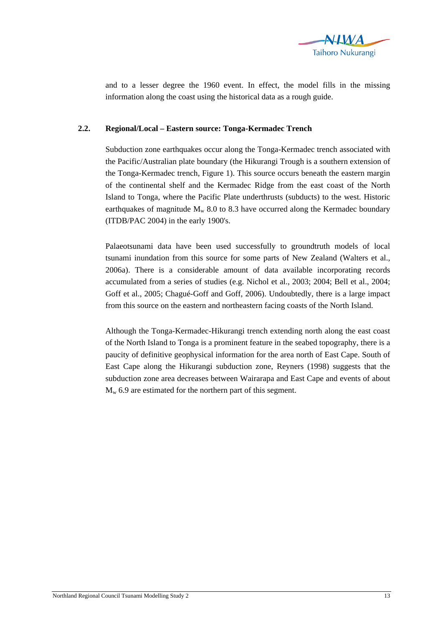

and to a lesser degree the 1960 event. In effect, the model fills in the missing information along the coast using the historical data as a rough guide.

## **2.2. Regional/Local – Eastern source: Tonga-Kermadec Trench**

Subduction zone earthquakes occur along the Tonga-Kermadec trench associated with the Pacific/Australian plate boundary (the Hikurangi Trough is a southern extension of the Tonga-Kermadec trench, Figure 1). This source occurs beneath the eastern margin of the continental shelf and the Kermadec Ridge from the east coast of the North Island to Tonga, where the Pacific Plate underthrusts (subducts) to the west. Historic earthquakes of magnitude  $M_w$  8.0 to 8.3 have occurred along the Kermadec boundary (ITDB/PAC 2004) in the early 1900's.

Palaeotsunami data have been used successfully to groundtruth models of local tsunami inundation from this source for some parts of New Zealand (Walters et al., 2006a). There is a considerable amount of data available incorporating records accumulated from a series of studies (e.g. Nichol et al., 2003; 2004; Bell et al., 2004; Goff et al., 2005; Chagué-Goff and Goff, 2006). Undoubtedly, there is a large impact from this source on the eastern and northeastern facing coasts of the North Island.

Although the Tonga-Kermadec-Hikurangi trench extending north along the east coast of the North Island to Tonga is a prominent feature in the seabed topography, there is a paucity of definitive geophysical information for the area north of East Cape. South of East Cape along the Hikurangi subduction zone, Reyners (1998) suggests that the subduction zone area decreases between Wairarapa and East Cape and events of about  $M_{w}$  6.9 are estimated for the northern part of this segment.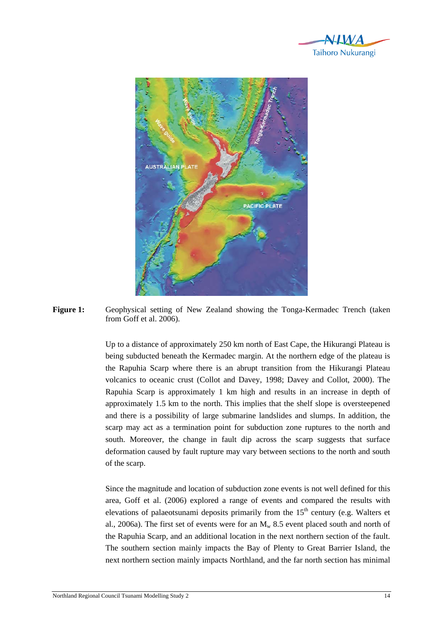



Figure 1: Geophysical setting of New Zealand showing the Tonga-Kermadec Trench (taken from Goff et al. 2006).

> Up to a distance of approximately 250 km north of East Cape, the Hikurangi Plateau is being subducted beneath the Kermadec margin. At the northern edge of the plateau is the Rapuhia Scarp where there is an abrupt transition from the Hikurangi Plateau volcanics to oceanic crust (Collot and Davey, 1998; Davey and Collot, 2000). The Rapuhia Scarp is approximately 1 km high and results in an increase in depth of approximately 1.5 km to the north. This implies that the shelf slope is oversteepened and there is a possibility of large submarine landslides and slumps. In addition, the scarp may act as a termination point for subduction zone ruptures to the north and south. Moreover, the change in fault dip across the scarp suggests that surface deformation caused by fault rupture may vary between sections to the north and south of the scarp.

> Since the magnitude and location of subduction zone events is not well defined for this area, Goff et al. (2006) explored a range of events and compared the results with elevations of palaeotsunami deposits primarily from the  $15<sup>th</sup>$  century (e.g. Walters et al., 2006a). The first set of events were for an  $M_w$  8.5 event placed south and north of the Rapuhia Scarp, and an additional location in the next northern section of the fault. The southern section mainly impacts the Bay of Plenty to Great Barrier Island, the next northern section mainly impacts Northland, and the far north section has minimal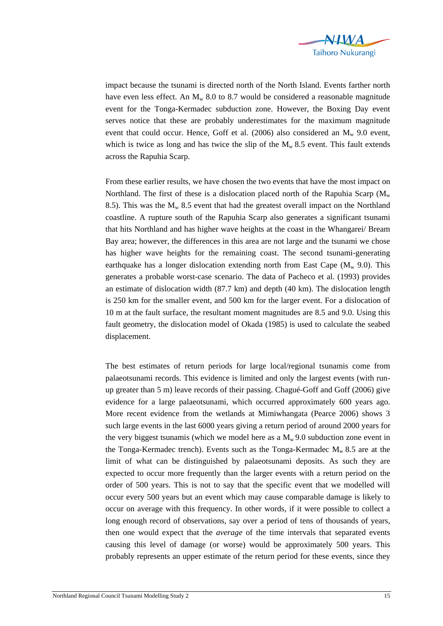

impact because the tsunami is directed north of the North Island. Events farther north have even less effect. An  $M_w$  8.0 to 8.7 would be considered a reasonable magnitude event for the Tonga-Kermadec subduction zone. However, the Boxing Day event serves notice that these are probably underestimates for the maximum magnitude event that could occur. Hence, Goff et al. (2006) also considered an  $M_w$  9.0 event, which is twice as long and has twice the slip of the  $M_w$  8.5 event. This fault extends across the Rapuhia Scarp.

From these earlier results, we have chosen the two events that have the most impact on Northland. The first of these is a dislocation placed north of the Rapuhia Scarp ( $M_w$ ) 8.5). This was the  $M_w$  8.5 event that had the greatest overall impact on the Northland coastline. A rupture south of the Rapuhia Scarp also generates a significant tsunami that hits Northland and has higher wave heights at the coast in the Whangarei/ Bream Bay area; however, the differences in this area are not large and the tsunami we chose has higher wave heights for the remaining coast. The second tsunami-generating earthquake has a longer dislocation extending north from East Cape  $(M_w 9.0)$ . This generates a probable worst-case scenario. The data of Pacheco et al. (1993) provides an estimate of dislocation width (87.7 km) and depth (40 km). The dislocation length is 250 km for the smaller event, and 500 km for the larger event. For a dislocation of 10 m at the fault surface, the resultant moment magnitudes are 8.5 and 9.0. Using this fault geometry, the dislocation model of Okada (1985) is used to calculate the seabed displacement.

The best estimates of return periods for large local/regional tsunamis come from palaeotsunami records. This evidence is limited and only the largest events (with runup greater than 5 m) leave records of their passing. Chagué-Goff and Goff (2006) give evidence for a large palaeotsunami, which occurred approximately 600 years ago. More recent evidence from the wetlands at Mimiwhangata (Pearce 2006) shows 3 such large events in the last 6000 years giving a return period of around 2000 years for the very biggest tsunamis (which we model here as a  $M_w$  9.0 subduction zone event in the Tonga-Kermadec trench). Events such as the Tonga-Kermadec  $M_w 8.5$  are at the limit of what can be distinguished by palaeotsunami deposits. As such they are expected to occur more frequently than the larger events with a return period on the order of 500 years. This is not to say that the specific event that we modelled will occur every 500 years but an event which may cause comparable damage is likely to occur on average with this frequency. In other words, if it were possible to collect a long enough record of observations, say over a period of tens of thousands of years, then one would expect that the *average* of the time intervals that separated events causing this level of damage (or worse) would be approximately 500 years. This probably represents an upper estimate of the return period for these events, since they